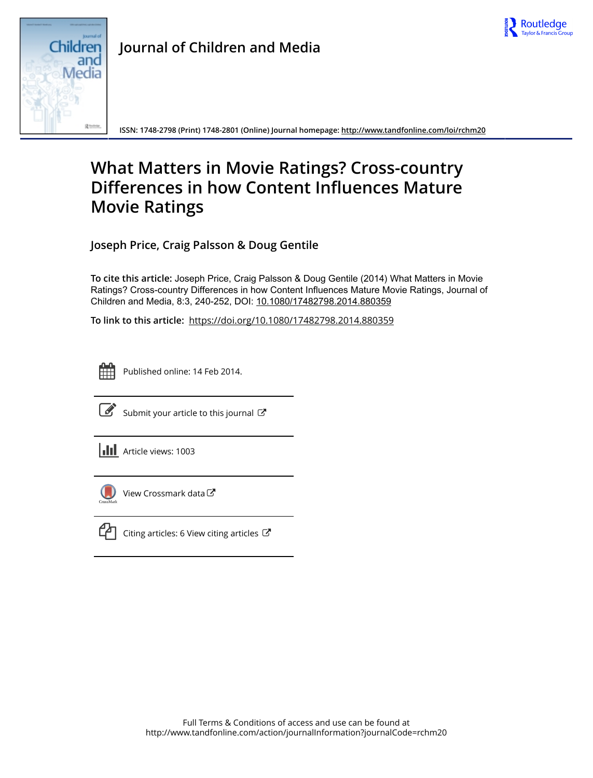



**Journal of Children and Media**

**ISSN: 1748-2798 (Print) 1748-2801 (Online) Journal homepage:<http://www.tandfonline.com/loi/rchm20>**

# **What Matters in Movie Ratings? Cross-country Differences in how Content Influences Mature Movie Ratings**

**Joseph Price, Craig Palsson & Doug Gentile**

**To cite this article:** Joseph Price, Craig Palsson & Doug Gentile (2014) What Matters in Movie Ratings? Cross-country Differences in how Content Influences Mature Movie Ratings, Journal of Children and Media, 8:3, 240-252, DOI: [10.1080/17482798.2014.880359](http://www.tandfonline.com/action/showCitFormats?doi=10.1080/17482798.2014.880359)

**To link to this article:** <https://doi.org/10.1080/17482798.2014.880359>



Published online: 14 Feb 2014.



 $\overrightarrow{S}$  [Submit your article to this journal](http://www.tandfonline.com/action/authorSubmission?journalCode=rchm20&show=instructions)  $\overrightarrow{S}$ 





[View Crossmark data](http://crossmark.crossref.org/dialog/?doi=10.1080/17482798.2014.880359&domain=pdf&date_stamp=2014-02-14)



 $\Box$  [Citing articles: 6 View citing articles](http://www.tandfonline.com/doi/citedby/10.1080/17482798.2014.880359#tabModule)  $\Box$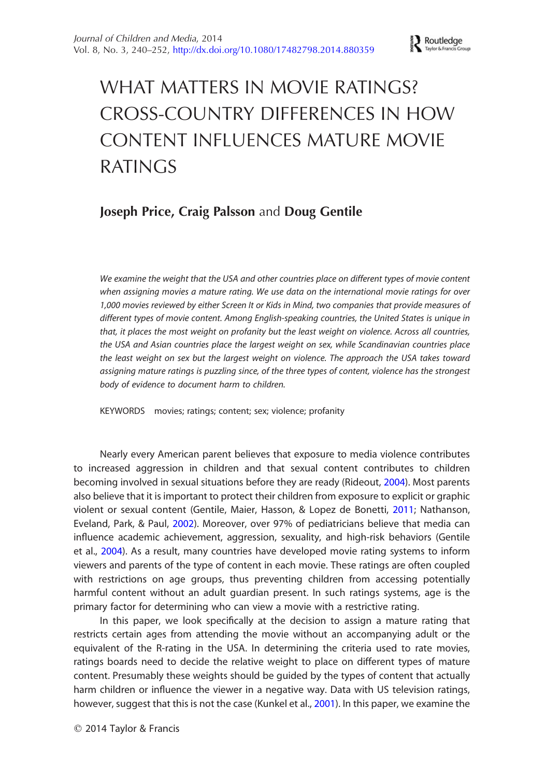D Routledge

# WHAT MATTERS IN MOVIE RATINGS? CROSS-COUNTRY DIFFERENCES IN HOW CONTENT INFLUENCES MATURE MOVIE RATINGS

# Joseph Price, Craig Palsson and Doug Gentile

We examine the weight that the USA and other countries place on different types of movie content when assigning movies a mature rating. We use data on the international movie ratings for over 1,000 movies reviewed by either Screen It or Kids in Mind, two companies that provide measures of different types of movie content. Among English-speaking countries, the United States is unique in that, it places the most weight on profanity but the least weight on violence. Across all countries, the USA and Asian countries place the largest weight on sex, while Scandinavian countries place the least weight on sex but the largest weight on violence. The approach the USA takes toward assigning mature ratings is puzzling since, of the three types of content, violence has the strongest body of evidence to document harm to children.

KEYWORDS movies; ratings; content; sex; violence; profanity

Nearly every American parent believes that exposure to media violence contributes to increased aggression in children and that sexual content contributes to children becoming involved in sexual situations before they are ready (Rideout, [2004](#page-12-0)). Most parents also believe that it is important to protect their children from exposure to explicit or graphic violent or sexual content (Gentile, Maier, Hasson, & Lopez de Bonetti, [2011;](#page-11-0) Nathanson, Eveland, Park, & Paul, [2002](#page-12-1)). Moreover, over 97% of pediatricians believe that media can influence academic achievement, aggression, sexuality, and high-risk behaviors (Gentile et al., [2004\)](#page-11-1). As a result, many countries have developed movie rating systems to inform viewers and parents of the type of content in each movie. These ratings are often coupled with restrictions on age groups, thus preventing children from accessing potentially harmful content without an adult guardian present. In such ratings systems, age is the primary factor for determining who can view a movie with a restrictive rating.

In this paper, we look specifically at the decision to assign a mature rating that restricts certain ages from attending the movie without an accompanying adult or the equivalent of the R-rating in the USA. In determining the criteria used to rate movies, ratings boards need to decide the relative weight to place on different types of mature content. Presumably these weights should be guided by the types of content that actually harm children or influence the viewer in a negative way. Data with US television ratings, however, suggest that this is not the case (Kunkel et al., [2001](#page-12-2)). In this paper, we examine the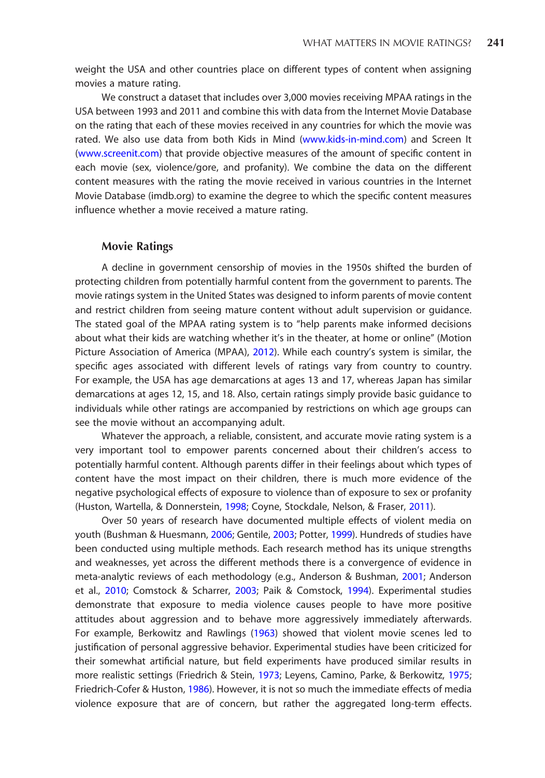weight the USA and other countries place on different types of content when assigning movies a mature rating.

We construct a dataset that includes over 3,000 movies receiving MPAA ratings in the USA between 1993 and 2011 and combine this with data from the Internet Movie Database on the rating that each of these movies received in any countries for which the movie was rated. We also use data from both Kids in Mind ([www.kids-in-mind.com](http://www.kids-in-mind.com)) and Screen It ([www.screenit.com](http://www.screenit.com)) that provide objective measures of the amount of specific content in each movie (sex, violence/gore, and profanity). We combine the data on the different content measures with the rating the movie received in various countries in the Internet Movie Database (imdb.org) to examine the degree to which the specific content measures influence whether a movie received a mature rating.

# Movie Ratings

A decline in government censorship of movies in the 1950s shifted the burden of protecting children from potentially harmful content from the government to parents. The movie ratings system in the United States was designed to inform parents of movie content and restrict children from seeing mature content without adult supervision or guidance. The stated goal of the MPAA rating system is to "help parents make informed decisions about what their kids are watching whether it's in the theater, at home or online" (Motion Picture Association of America (MPAA), [2012](#page-12-3)). While each country's system is similar, the specific ages associated with different levels of ratings vary from country to country. For example, the USA has age demarcations at ages 13 and 17, whereas Japan has similar demarcations at ages 12, 15, and 18. Also, certain ratings simply provide basic guidance to individuals while other ratings are accompanied by restrictions on which age groups can see the movie without an accompanying adult.

Whatever the approach, a reliable, consistent, and accurate movie rating system is a very important tool to empower parents concerned about their children's access to potentially harmful content. Although parents differ in their feelings about which types of content have the most impact on their children, there is much more evidence of the negative psychological effects of exposure to violence than of exposure to sex or profanity (Huston, Wartella, & Donnerstein, [1998;](#page-11-2) Coyne, Stockdale, Nelson, & Fraser, [2011](#page-11-3)).

Over 50 years of research have documented multiple effects of violent media on youth (Bushman & Huesmann, [2006](#page-11-4); Gentile, [2003](#page-11-5); Potter, [1999\)](#page-12-4). Hundreds of studies have been conducted using multiple methods. Each research method has its unique strengths and weaknesses, yet across the different methods there is a convergence of evidence in meta-analytic reviews of each methodology (e.g., Anderson & Bushman, [2001](#page-11-6); Anderson et al., [2010](#page-11-7); Comstock & Scharrer, [2003](#page-11-8); Paik & Comstock, [1994\)](#page-12-5). Experimental studies demonstrate that exposure to media violence causes people to have more positive attitudes about aggression and to behave more aggressively immediately afterwards. For example, Berkowitz and Rawlings [\(1963\)](#page-11-9) showed that violent movie scenes led to justification of personal aggressive behavior. Experimental studies have been criticized for their somewhat artificial nature, but field experiments have produced similar results in more realistic settings (Friedrich & Stein, [1973;](#page-11-10) Leyens, Camino, Parke, & Berkowitz, [1975;](#page-12-6) Friedrich-Cofer & Huston, [1986](#page-11-11)). However, it is not so much the immediate effects of media violence exposure that are of concern, but rather the aggregated long-term effects.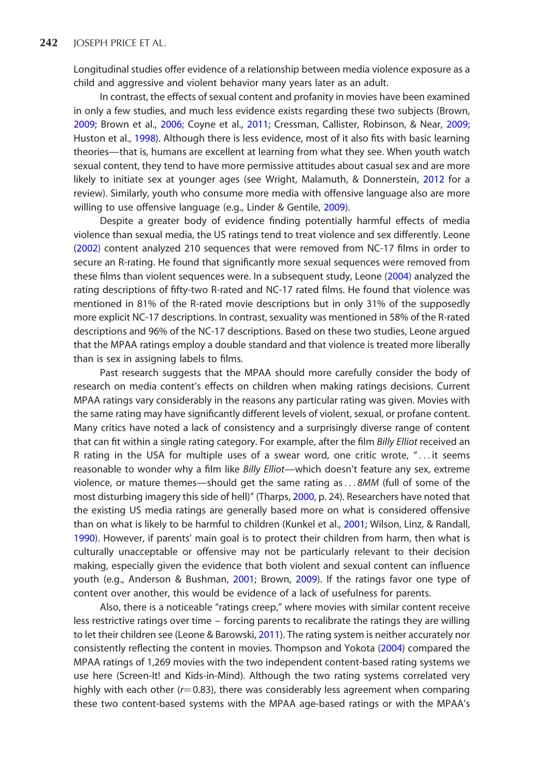Longitudinal studies offer evidence of a relationship between media violence exposure as a child and aggressive and violent behavior many years later as an adult.

In contrast, the effects of sexual content and profanity in movies have been examined in only a few studies, and much less evidence exists regarding these two subjects (Brown, [2009;](#page-11-12) Brown et al., [2006;](#page-11-13) Coyne et al., [2011;](#page-11-3) Cressman, Callister, Robinson, & Near, [2009](#page-11-14); Huston et al., [1998\)](#page-11-2). Although there is less evidence, most of it also fits with basic learning theories—that is, humans are excellent at learning from what they see. When youth watch sexual content, they tend to have more permissive attitudes about casual sex and are more likely to initiate sex at younger ages (see Wright, Malamuth, & Donnerstein, [2012](#page-13-0) for a review). Similarly, youth who consume more media with offensive language also are more willing to use offensive language (e.g., Linder & Gentile, [2009](#page-12-7)).

Despite a greater body of evidence finding potentially harmful effects of media violence than sexual media, the US ratings tend to treat violence and sex differently. Leone [\(2002](#page-12-8)) content analyzed 210 sequences that were removed from NC-17 films in order to secure an R-rating. He found that significantly more sexual sequences were removed from these films than violent sequences were. In a subsequent study, Leone [\(2004\)](#page-12-9) analyzed the rating descriptions of fifty-two R-rated and NC-17 rated films. He found that violence was mentioned in 81% of the R-rated movie descriptions but in only 31% of the supposedly more explicit NC-17 descriptions. In contrast, sexuality was mentioned in 58% of the R-rated descriptions and 96% of the NC-17 descriptions. Based on these two studies, Leone argued that the MPAA ratings employ a double standard and that violence is treated more liberally than is sex in assigning labels to films.

Past research suggests that the MPAA should more carefully consider the body of research on media content's effects on children when making ratings decisions. Current MPAA ratings vary considerably in the reasons any particular rating was given. Movies with the same rating may have significantly different levels of violent, sexual, or profane content. Many critics have noted a lack of consistency and a surprisingly diverse range of content that can fit within a single rating category. For example, after the film Billy Elliot received an R rating in the USA for multiple uses of a swear word, one critic wrote, "... it seems reasonable to wonder why a film like Billy Elliot—which doesn't feature any sex, extreme violence, or mature themes—should get the same rating as... 8MM (full of some of the most disturbing imagery this side of hell)" (Tharps, [2000](#page-12-10), p. 24). Researchers have noted that the existing US media ratings are generally based more on what is considered offensive than on what is likely to be harmful to children (Kunkel et al., [2001](#page-12-2); Wilson, Linz, & Randall, [1990\)](#page-12-11). However, if parents' main goal is to protect their children from harm, then what is culturally unacceptable or offensive may not be particularly relevant to their decision making, especially given the evidence that both violent and sexual content can influence youth (e.g., Anderson & Bushman, [2001](#page-11-6); Brown, [2009\)](#page-11-12). If the ratings favor one type of content over another, this would be evidence of a lack of usefulness for parents.

Also, there is a noticeable "ratings creep," where movies with similar content receive less restrictive ratings over time – forcing parents to recalibrate the ratings they are willing to let their children see (Leone & Barowski, [2011](#page-12-12)). The rating system is neither accurately nor consistently reflecting the content in movies. Thompson and Yokota ([2004\)](#page-12-13) compared the MPAA ratings of 1,269 movies with the two independent content-based rating systems we use here (Screen-It! and Kids-in-Mind). Although the two rating systems correlated very highly with each other (r=0.83), there was considerably less agreement when comparing these two content-based systems with the MPAA age-based ratings or with the MPAA's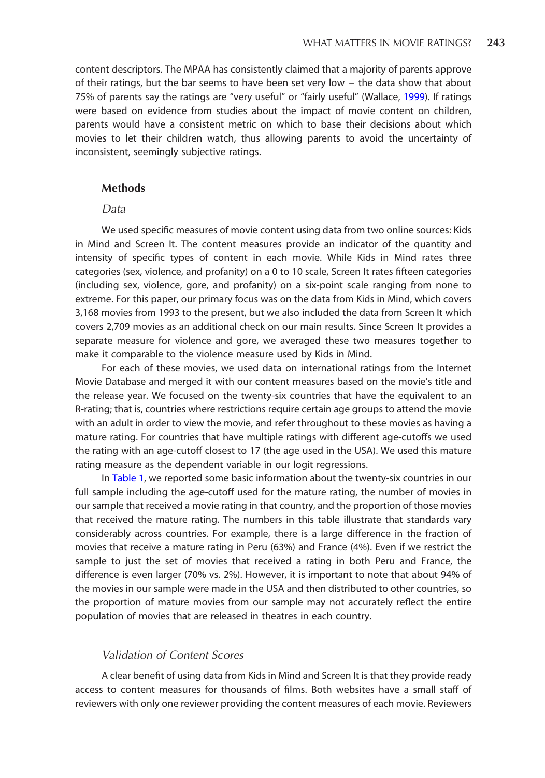content descriptors. The MPAA has consistently claimed that a majority of parents approve of their ratings, but the bar seems to have been set very low – the data show that about 75% of parents say the ratings are "very useful" or "fairly useful" (Wallace, [1999](#page-12-14)). If ratings were based on evidence from studies about the impact of movie content on children, parents would have a consistent metric on which to base their decisions about which movies to let their children watch, thus allowing parents to avoid the uncertainty of inconsistent, seemingly subjective ratings.

#### **Methods**

## Data

We used specific measures of movie content using data from two online sources: Kids in Mind and Screen It. The content measures provide an indicator of the quantity and intensity of specific types of content in each movie. While Kids in Mind rates three categories (sex, violence, and profanity) on a 0 to 10 scale, Screen It rates fifteen categories (including sex, violence, gore, and profanity) on a six-point scale ranging from none to extreme. For this paper, our primary focus was on the data from Kids in Mind, which covers 3,168 movies from 1993 to the present, but we also included the data from Screen It which covers 2,709 movies as an additional check on our main results. Since Screen It provides a separate measure for violence and gore, we averaged these two measures together to make it comparable to the violence measure used by Kids in Mind.

For each of these movies, we used data on international ratings from the Internet Movie Database and merged it with our content measures based on the movie's title and the release year. We focused on the twenty-six countries that have the equivalent to an R-rating; that is, countries where restrictions require certain age groups to attend the movie with an adult in order to view the movie, and refer throughout to these movies as having a mature rating. For countries that have multiple ratings with different age-cutoffs we used the rating with an age-cutoff closest to 17 (the age used in the USA). We used this mature rating measure as the dependent variable in our logit regressions.

In [Table 1](#page-5-0), we reported some basic information about the twenty-six countries in our full sample including the age-cutoff used for the mature rating, the number of movies in our sample that received a movie rating in that country, and the proportion of those movies that received the mature rating. The numbers in this table illustrate that standards vary considerably across countries. For example, there is a large difference in the fraction of movies that receive a mature rating in Peru (63%) and France (4%). Even if we restrict the sample to just the set of movies that received a rating in both Peru and France, the difference is even larger (70% vs. 2%). However, it is important to note that about 94% of the movies in our sample were made in the USA and then distributed to other countries, so the proportion of mature movies from our sample may not accurately reflect the entire population of movies that are released in theatres in each country.

#### Validation of Content Scores

A clear benefit of using data from Kids in Mind and Screen It is that they provide ready access to content measures for thousands of films. Both websites have a small staff of reviewers with only one reviewer providing the content measures of each movie. Reviewers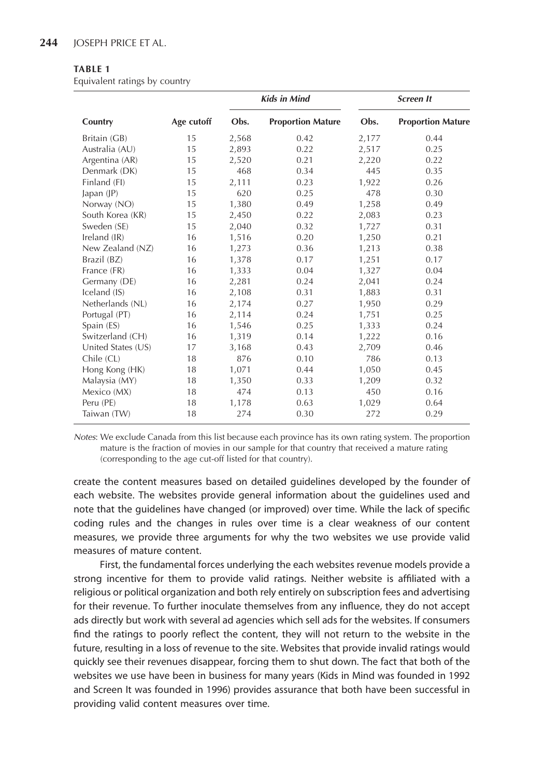#### <span id="page-5-0"></span>TABLE 1

Equivalent ratings by country

|                    |            | <b>Kids in Mind</b> |                          | <b>Screen It</b> |                          |
|--------------------|------------|---------------------|--------------------------|------------------|--------------------------|
| Country            | Age cutoff | Obs.                | <b>Proportion Mature</b> | Obs.             | <b>Proportion Mature</b> |
| Britain (GB)       | 15         | 2,568               | 0.42                     | 2,177            | 0.44                     |
| Australia (AU)     | 15         | 2,893               | 0.22                     | 2,517            | 0.25                     |
| Argentina (AR)     | 15         | 2,520               | 0.21                     | 2,220            | 0.22                     |
| Denmark (DK)       | 15         | 468                 | 0.34                     | 445              | 0.35                     |
| Finland (FI)       | 15         | 2,111               | 0.23                     | 1,922            | 0.26                     |
| Japan (JP)         | 15         | 620                 | 0.25                     | 478              | 0.30                     |
| Norway (NO)        | 15         | 1,380               | 0.49                     | 1,258            | 0.49                     |
| South Korea (KR)   | 15         | 2,450               | 0.22                     | 2,083            | 0.23                     |
| Sweden (SE)        | 15         | 2,040               | 0.32                     | 1,727            | 0.31                     |
| Ireland (IR)       | 16         | 1,516               | 0.20                     | 1,250            | 0.21                     |
| New Zealand (NZ)   | 16         | 1,273               | 0.36                     | 1,213            | 0.38                     |
| Brazil (BZ)        | 16         | 1,378               | 0.17                     | 1,251            | 0.17                     |
| France (FR)        | 16         | 1,333               | 0.04                     | 1,327            | 0.04                     |
| Germany (DE)       | 16         | 2,281               | 0.24                     | 2,041            | 0.24                     |
| Iceland (IS)       | 16         | 2,108               | 0.31                     | 1,883            | 0.31                     |
| Netherlands (NL)   | 16         | 2,174               | 0.27                     | 1,950            | 0.29                     |
| Portugal (PT)      | 16         | 2,114               | 0.24                     | 1,751            | 0.25                     |
| Spain (ES)         | 16         | 1,546               | 0.25                     | 1,333            | 0.24                     |
| Switzerland (CH)   | 16         | 1,319               | 0.14                     | 1,222            | 0.16                     |
| United States (US) | 17         | 3,168               | 0.43                     | 2,709            | 0.46                     |
| Chile (CL)         | 18         | 876                 | 0.10                     | 786              | 0.13                     |
| Hong Kong (HK)     | 18         | 1,071               | 0.44                     | 1,050            | 0.45                     |
| Malaysia (MY)      | 18         | 1,350               | 0.33                     | 1,209            | 0.32                     |
| Mexico (MX)        | 18         | 474                 | 0.13                     | 450              | 0.16                     |
| Peru (PE)          | 18         | 1,178               | 0.63                     | 1,029            | 0.64                     |
| Taiwan (TW)        | 18         | 274                 | 0.30                     | 272              | 0.29                     |

Notes: We exclude Canada from this list because each province has its own rating system. The proportion mature is the fraction of movies in our sample for that country that received a mature rating (corresponding to the age cut-off listed for that country).

create the content measures based on detailed guidelines developed by the founder of each website. The websites provide general information about the guidelines used and note that the guidelines have changed (or improved) over time. While the lack of specific coding rules and the changes in rules over time is a clear weakness of our content measures, we provide three arguments for why the two websites we use provide valid measures of mature content.

First, the fundamental forces underlying the each websites revenue models provide a strong incentive for them to provide valid ratings. Neither website is affiliated with a religious or political organization and both rely entirely on subscription fees and advertising for their revenue. To further inoculate themselves from any influence, they do not accept ads directly but work with several ad agencies which sell ads for the websites. If consumers find the ratings to poorly reflect the content, they will not return to the website in the future, resulting in a loss of revenue to the site. Websites that provide invalid ratings would quickly see their revenues disappear, forcing them to shut down. The fact that both of the websites we use have been in business for many years (Kids in Mind was founded in 1992 and Screen It was founded in 1996) provides assurance that both have been successful in providing valid content measures over time.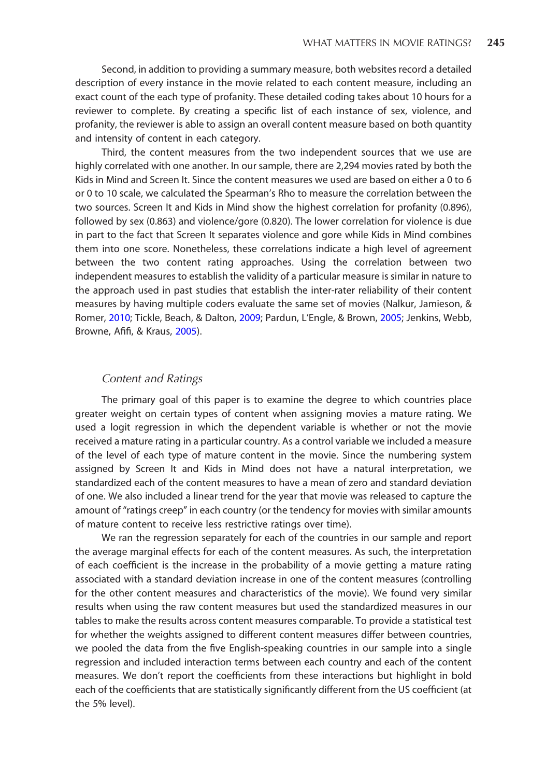Second, in addition to providing a summary measure, both websites record a detailed description of every instance in the movie related to each content measure, including an exact count of the each type of profanity. These detailed coding takes about 10 hours for a reviewer to complete. By creating a specific list of each instance of sex, violence, and profanity, the reviewer is able to assign an overall content measure based on both quantity and intensity of content in each category.

Third, the content measures from the two independent sources that we use are highly correlated with one another. In our sample, there are 2,294 movies rated by both the Kids in Mind and Screen It. Since the content measures we used are based on either a 0 to 6 or 0 to 10 scale, we calculated the Spearman's Rho to measure the correlation between the two sources. Screen It and Kids in Mind show the highest correlation for profanity (0.896), followed by sex (0.863) and violence/gore (0.820). The lower correlation for violence is due in part to the fact that Screen It separates violence and gore while Kids in Mind combines them into one score. Nonetheless, these correlations indicate a high level of agreement between the two content rating approaches. Using the correlation between two independent measures to establish the validity of a particular measure is similar in nature to the approach used in past studies that establish the inter-rater reliability of their content measures by having multiple coders evaluate the same set of movies (Nalkur, Jamieson, & Romer, [2010;](#page-12-15) Tickle, Beach, & Dalton, [2009;](#page-12-16) Pardun, L'Engle, & Brown, [2005](#page-12-17); Jenkins, Webb, Browne, Afifi, & Kraus, [2005](#page-11-15)).

## Content and Ratings

The primary goal of this paper is to examine the degree to which countries place greater weight on certain types of content when assigning movies a mature rating. We used a logit regression in which the dependent variable is whether or not the movie received a mature rating in a particular country. As a control variable we included a measure of the level of each type of mature content in the movie. Since the numbering system assigned by Screen It and Kids in Mind does not have a natural interpretation, we standardized each of the content measures to have a mean of zero and standard deviation of one. We also included a linear trend for the year that movie was released to capture the amount of "ratings creep" in each country (or the tendency for movies with similar amounts of mature content to receive less restrictive ratings over time).

We ran the regression separately for each of the countries in our sample and report the average marginal effects for each of the content measures. As such, the interpretation of each coefficient is the increase in the probability of a movie getting a mature rating associated with a standard deviation increase in one of the content measures (controlling for the other content measures and characteristics of the movie). We found very similar results when using the raw content measures but used the standardized measures in our tables to make the results across content measures comparable. To provide a statistical test for whether the weights assigned to different content measures differ between countries, we pooled the data from the five English-speaking countries in our sample into a single regression and included interaction terms between each country and each of the content measures. We don't report the coefficients from these interactions but highlight in bold each of the coefficients that are statistically significantly different from the US coefficient (at the 5% level).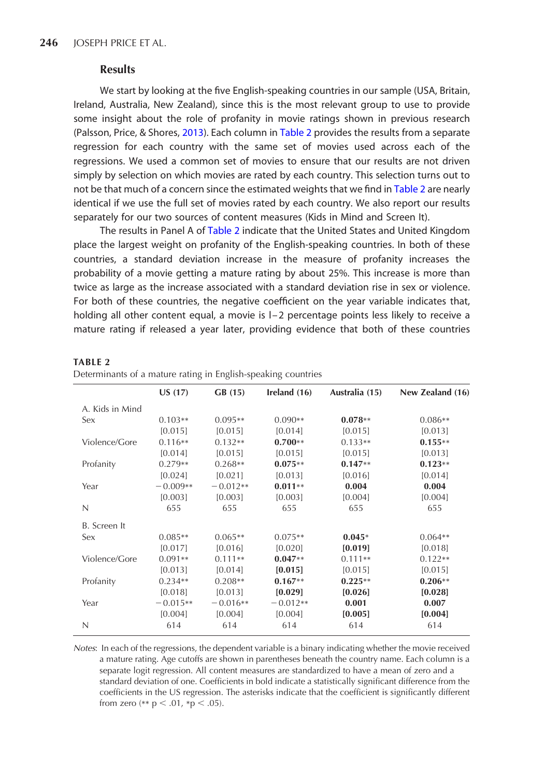# **Results**

We start by looking at the five English-speaking countries in our sample (USA, Britain, Ireland, Australia, New Zealand), since this is the most relevant group to use to provide some insight about the role of profanity in movie ratings shown in previous research (Palsson, Price, & Shores, [2013](#page-12-18)). Each column in [Table 2](#page-7-0) provides the results from a separate regression for each country with the same set of movies used across each of the regressions. We used a common set of movies to ensure that our results are not driven simply by selection on which movies are rated by each country. This selection turns out to not be that much of a concern since the estimated weights that we find in [Table 2](#page-7-0) are nearly identical if we use the full set of movies rated by each country. We also report our results separately for our two sources of content measures (Kids in Mind and Screen It).

The results in Panel A of [Table 2](#page-7-0) indicate that the United States and United Kingdom place the largest weight on profanity of the English-speaking countries. In both of these countries, a standard deviation increase in the measure of profanity increases the probability of a movie getting a mature rating by about 25%. This increase is more than twice as large as the increase associated with a standard deviation rise in sex or violence. For both of these countries, the negative coefficient on the year variable indicates that, holding all other content equal, a movie is l-2 percentage points less likely to receive a mature rating if released a year later, providing evidence that both of these countries

|                     | US(17)     | GB(15)     | Ireland $(16)$ | Australia (15) | New Zealand (16) |
|---------------------|------------|------------|----------------|----------------|------------------|
| A. Kids in Mind     |            |            |                |                |                  |
| Sex                 | $0.103**$  | $0.095**$  | $0.090**$      | $0.078**$      | $0.086**$        |
|                     | [0.015]    | [0.015]    | [0.014]        | [0.015]        | [0.013]          |
| Violence/Gore       | $0.116**$  | $0.132**$  | $0.700**$      | $0.133**$      | $0.155**$        |
|                     | [0.014]    | [0.015]    | [0.015]        | [0.015]        | [0.013]          |
| Profanity           | $0.279**$  | $0.268**$  | $0.075**$      | $0.147**$      | $0.123**$        |
|                     | [0.024]    | [0.021]    | [0.013]        | [0.016]        | [0.014]          |
| Year                | $-0.009**$ | $-0.012**$ | $0.011**$      | 0.004          | 0.004            |
|                     | [0.003]    | [0.003]    | [0.003]        | [0.004]        | [0.004]          |
| N                   | 655        | 655        | 655            | 655            | 655              |
| <b>B.</b> Screen It |            |            |                |                |                  |
| Sex                 | $0.085**$  | $0.065**$  | $0.075**$      | $0.045*$       | $0.064**$        |
|                     | [0.017]    | [0.016]    | [0.020]        | [0.019]        | [0.018]          |
| Violence/Gore       | $0.091**$  | $0.111**$  | $0.047**$      | $0.111**$      | $0.122**$        |
|                     | [0.013]    | [0.014]    | [0.015]        | [0.015]        | [0.015]          |
| Profanity           | $0.234**$  | $0.208**$  | $0.167**$      | $0.225**$      | $0.206**$        |
|                     | [0.018]    | [0.013]    | [0.029]        | [0.026]        | [0.028]          |
| Year                | $-0.015**$ | $-0.016**$ | $-0.012**$     | 0.001          | 0.007            |
|                     | [0.004]    | [0.004]    | [0.004]        | [0.005]        | [0.004]          |
| N                   | 614        | 614        | 614            | 614            | 614              |
|                     |            |            |                |                |                  |

#### <span id="page-7-0"></span>TABLE 2

Determinants of a mature rating in English-speaking countries

Notes: In each of the regressions, the dependent variable is a binary indicating whether the movie received a mature rating. Age cutoffs are shown in parentheses beneath the country name. Each column is a separate logit regression. All content measures are standardized to have a mean of zero and a standard deviation of one. Coefficients in bold indicate a statistically significant difference from the coefficients in the US regression. The asterisks indicate that the coefficient is significantly different from zero  $(** p < .01, *p < .05)$ .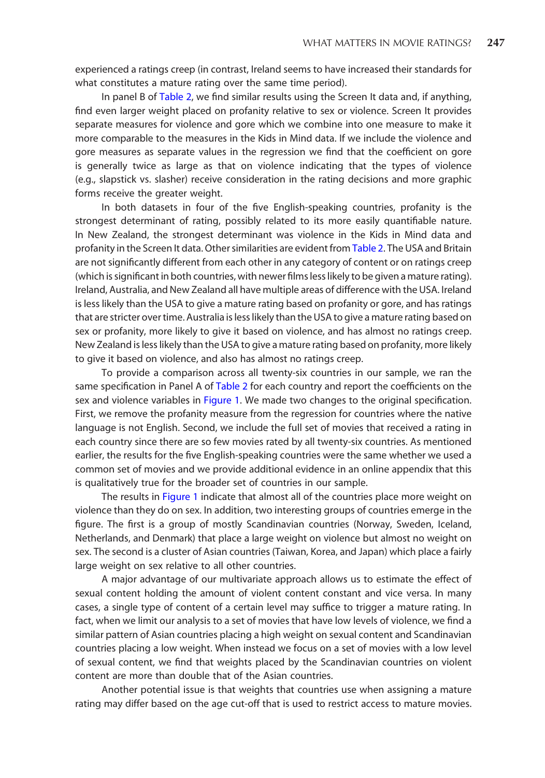experienced a ratings creep (in contrast, Ireland seems to have increased their standards for what constitutes a mature rating over the same time period).

In panel B of [Table 2](#page-7-0), we find similar results using the Screen It data and, if anything, find even larger weight placed on profanity relative to sex or violence. Screen It provides separate measures for violence and gore which we combine into one measure to make it more comparable to the measures in the Kids in Mind data. If we include the violence and gore measures as separate values in the regression we find that the coefficient on gore is generally twice as large as that on violence indicating that the types of violence (e.g., slapstick vs. slasher) receive consideration in the rating decisions and more graphic forms receive the greater weight.

In both datasets in four of the five English-speaking countries, profanity is the strongest determinant of rating, possibly related to its more easily quantifiable nature. In New Zealand, the strongest determinant was violence in the Kids in Mind data and profanity in the Screen It data. Other similarities are evident from [Table 2.](#page-7-0) The USA and Britain are not significantly different from each other in any category of content or on ratings creep (which is significant in both countries, with newer films less likely to be given a mature rating). Ireland, Australia, and New Zealand all have multiple areas of difference with the USA. Ireland is less likely than the USA to give a mature rating based on profanity or gore, and has ratings that are stricter over time. Australia is less likely than the USA to give a mature rating based on sex or profanity, more likely to give it based on violence, and has almost no ratings creep. New Zealand is less likely than the USA to give a mature rating based on profanity, more likely to give it based on violence, and also has almost no ratings creep.

To provide a comparison across all twenty-six countries in our sample, we ran the same specification in Panel A of [Table 2](#page-7-0) for each country and report the coefficients on the sex and violence variables in [Figure 1.](#page-9-0) We made two changes to the original specification. First, we remove the profanity measure from the regression for countries where the native language is not English. Second, we include the full set of movies that received a rating in each country since there are so few movies rated by all twenty-six countries. As mentioned earlier, the results for the five English-speaking countries were the same whether we used a common set of movies and we provide additional evidence in an online appendix that this is qualitatively true for the broader set of countries in our sample.

The results in [Figure 1](#page-9-0) indicate that almost all of the countries place more weight on violence than they do on sex. In addition, two interesting groups of countries emerge in the figure. The first is a group of mostly Scandinavian countries (Norway, Sweden, Iceland, Netherlands, and Denmark) that place a large weight on violence but almost no weight on sex. The second is a cluster of Asian countries (Taiwan, Korea, and Japan) which place a fairly large weight on sex relative to all other countries.

A major advantage of our multivariate approach allows us to estimate the effect of sexual content holding the amount of violent content constant and vice versa. In many cases, a single type of content of a certain level may suffice to trigger a mature rating. In fact, when we limit our analysis to a set of movies that have low levels of violence, we find a similar pattern of Asian countries placing a high weight on sexual content and Scandinavian countries placing a low weight. When instead we focus on a set of movies with a low level of sexual content, we find that weights placed by the Scandinavian countries on violent content are more than double that of the Asian countries.

Another potential issue is that weights that countries use when assigning a mature rating may differ based on the age cut-off that is used to restrict access to mature movies.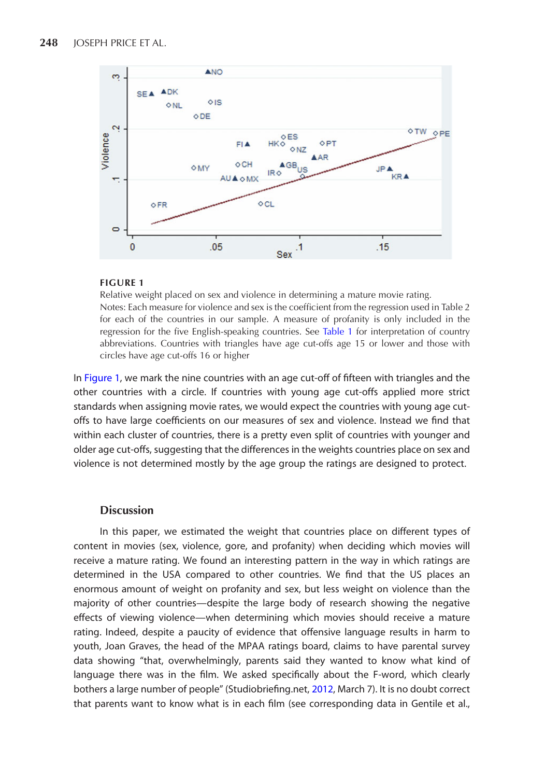<span id="page-9-0"></span>

#### FIGURE 1

Relative weight placed on sex and violence in determining a mature movie rating. Notes: Each measure for violence and sex is the coefficient from the regression used in Table 2 for each of the countries in our sample. A measure of profanity is only included in the regression for the five English-speaking countries. See [Table 1](#page-5-0) for interpretation of country abbreviations. Countries with triangles have age cut-offs age 15 or lower and those with circles have age cut-offs 16 or higher

In [Figure 1,](#page-9-0) we mark the nine countries with an age cut-off of fifteen with triangles and the other countries with a circle. If countries with young age cut-offs applied more strict standards when assigning movie rates, we would expect the countries with young age cutoffs to have large coefficients on our measures of sex and violence. Instead we find that within each cluster of countries, there is a pretty even split of countries with younger and older age cut-offs, suggesting that the differences in the weights countries place on sex and violence is not determined mostly by the age group the ratings are designed to protect.

## **Discussion**

In this paper, we estimated the weight that countries place on different types of content in movies (sex, violence, gore, and profanity) when deciding which movies will receive a mature rating. We found an interesting pattern in the way in which ratings are determined in the USA compared to other countries. We find that the US places an enormous amount of weight on profanity and sex, but less weight on violence than the majority of other countries—despite the large body of research showing the negative effects of viewing violence—when determining which movies should receive a mature rating. Indeed, despite a paucity of evidence that offensive language results in harm to youth, Joan Graves, the head of the MPAA ratings board, claims to have parental survey data showing "that, overwhelmingly, parents said they wanted to know what kind of language there was in the film. We asked specifically about the F-word, which clearly bothers a large number of people" (Studiobriefing.net, [2012](#page-12-19), March 7). It is no doubt correct that parents want to know what is in each film (see corresponding data in Gentile et al.,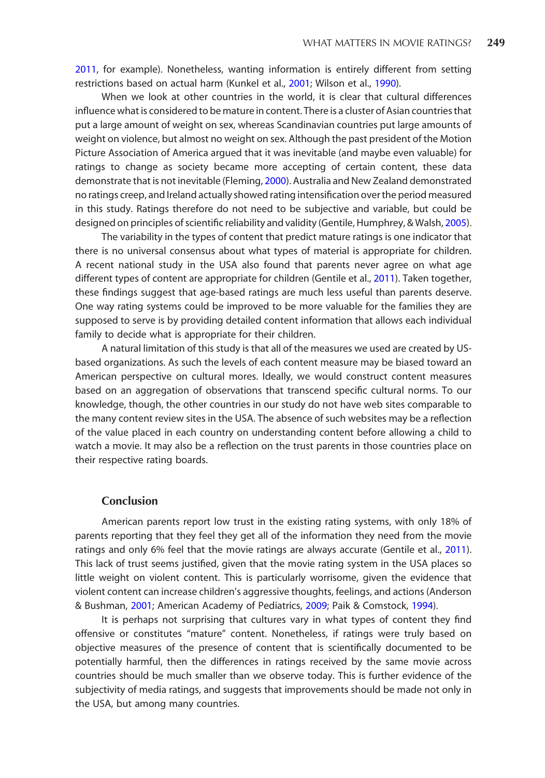[2011](#page-11-0), for example). Nonetheless, wanting information is entirely different from setting restrictions based on actual harm (Kunkel et al., [2001;](#page-12-2) Wilson et al., [1990](#page-12-11)).

When we look at other countries in the world, it is clear that cultural differences influence what is considered to be mature in content. There is a cluster of Asian countries that put a large amount of weight on sex, whereas Scandinavian countries put large amounts of weight on violence, but almost no weight on sex. Although the past president of the Motion Picture Association of America argued that it was inevitable (and maybe even valuable) for ratings to change as society became more accepting of certain content, these data demonstrate that is not inevitable (Fleming, [2000\)](#page-11-16). Australia and New Zealand demonstrated no ratings creep, and Ireland actually showed rating intensification over the period measured in this study. Ratings therefore do not need to be subjective and variable, but could be designed on principles of scientific reliability and validity (Gentile, Humphrey, & Walsh, [2005](#page-11-17)).

The variability in the types of content that predict mature ratings is one indicator that there is no universal consensus about what types of material is appropriate for children. A recent national study in the USA also found that parents never agree on what age different types of content are appropriate for children (Gentile et al., [2011](#page-11-0)). Taken together, these findings suggest that age-based ratings are much less useful than parents deserve. One way rating systems could be improved to be more valuable for the families they are supposed to serve is by providing detailed content information that allows each individual family to decide what is appropriate for their children.

A natural limitation of this study is that all of the measures we used are created by USbased organizations. As such the levels of each content measure may be biased toward an American perspective on cultural mores. Ideally, we would construct content measures based on an aggregation of observations that transcend specific cultural norms. To our knowledge, though, the other countries in our study do not have web sites comparable to the many content review sites in the USA. The absence of such websites may be a reflection of the value placed in each country on understanding content before allowing a child to watch a movie. It may also be a reflection on the trust parents in those countries place on their respective rating boards.

## Conclusion

American parents report low trust in the existing rating systems, with only 18% of parents reporting that they feel they get all of the information they need from the movie ratings and only 6% feel that the movie ratings are always accurate (Gentile et al., [2011](#page-11-0)). This lack of trust seems justified, given that the movie rating system in the USA places so little weight on violent content. This is particularly worrisome, given the evidence that violent content can increase children's aggressive thoughts, feelings, and actions (Anderson & Bushman, [2001;](#page-11-6) American Academy of Pediatrics, [2009;](#page-11-18) Paik & Comstock, [1994\)](#page-12-5).

It is perhaps not surprising that cultures vary in what types of content they find offensive or constitutes "mature" content. Nonetheless, if ratings were truly based on objective measures of the presence of content that is scientifically documented to be potentially harmful, then the differences in ratings received by the same movie across countries should be much smaller than we observe today. This is further evidence of the subjectivity of media ratings, and suggests that improvements should be made not only in the USA, but among many countries.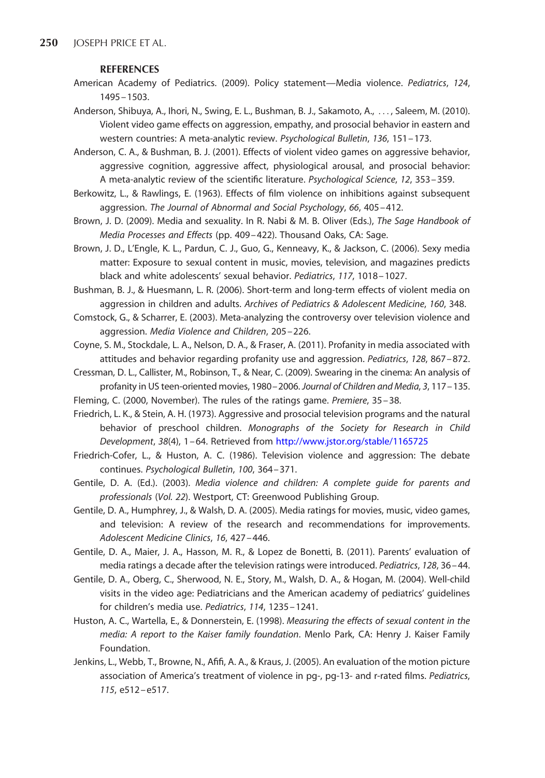#### **REFERENCES**

- <span id="page-11-18"></span>American Academy of Pediatrics. (2009). Policy statement—Media violence. Pediatrics, 124, 1495 –1503.
- <span id="page-11-7"></span>Anderson, Shibuya, A., Ihori, N., Swing, E. L., Bushman, B. J., Sakamoto, A., ... , Saleem, M. (2010). Violent video game effects on aggression, empathy, and prosocial behavior in eastern and western countries: A meta-analytic review. Psychological Bulletin, 136, 151 –173.

<span id="page-11-6"></span>Anderson, C. A., & Bushman, B. J. (2001). Effects of violent video games on aggressive behavior, aggressive cognition, aggressive affect, physiological arousal, and prosocial behavior: A meta-analytic review of the scientific literature. Psychological Science, 12, 353 –359.

- <span id="page-11-9"></span>Berkowitz, L., & Rawlings, E. (1963). Effects of film violence on inhibitions against subsequent aggression. The Journal of Abnormal and Social Psychology, 66, 405 –412.
- <span id="page-11-12"></span>Brown, J. D. (2009). Media and sexuality. In R. Nabi & M. B. Oliver (Eds.), The Sage Handbook of Media Processes and Effects (pp. 409 –422). Thousand Oaks, CA: Sage.
- <span id="page-11-13"></span>Brown, J. D., L'Engle, K. L., Pardun, C. J., Guo, G., Kenneavy, K., & Jackson, C. (2006). Sexy media matter: Exposure to sexual content in music, movies, television, and magazines predicts black and white adolescents' sexual behavior. Pediatrics, 117, 1018–1027.

<span id="page-11-4"></span>Bushman, B. J., & Huesmann, L. R. (2006). Short-term and long-term effects of violent media on aggression in children and adults. Archives of Pediatrics & Adolescent Medicine, 160, 348.

- <span id="page-11-8"></span>Comstock, G., & Scharrer, E. (2003). Meta-analyzing the controversy over television violence and aggression. Media Violence and Children, 205 –226.
- <span id="page-11-3"></span>Coyne, S. M., Stockdale, L. A., Nelson, D. A., & Fraser, A. (2011). Profanity in media associated with attitudes and behavior regarding profanity use and aggression. Pediatrics, 128, 867 –872.
- <span id="page-11-14"></span>Cressman, D. L., Callister, M., Robinson, T., & Near, C. (2009). Swearing in the cinema: An analysis of profanity in US teen-oriented movies, 1980–2006. Journal of Children and Media, 3, 117–135.
- <span id="page-11-16"></span>Fleming, C. (2000, November). The rules of the ratings game. Premiere, 35–38.
- <span id="page-11-10"></span>Friedrich, L. K., & Stein, A. H. (1973). Aggressive and prosocial television programs and the natural behavior of preschool children. Monographs of the Society for Research in Child Development, 38(4), 1 –64. Retrieved from <http://www.jstor.org/stable/1165725>
- <span id="page-11-11"></span>Friedrich-Cofer, L., & Huston, A. C. (1986). Television violence and aggression: The debate continues. Psychological Bulletin, 100, 364 –371.
- <span id="page-11-5"></span>Gentile, D. A. (Ed.). (2003). Media violence and children: A complete guide for parents and professionals (Vol. 22). Westport, CT: Greenwood Publishing Group.
- <span id="page-11-17"></span>Gentile, D. A., Humphrey, J., & Walsh, D. A. (2005). Media ratings for movies, music, video games, and television: A review of the research and recommendations for improvements. Adolescent Medicine Clinics, 16, 427 –446.
- <span id="page-11-0"></span>Gentile, D. A., Maier, J. A., Hasson, M. R., & Lopez de Bonetti, B. (2011). Parents' evaluation of media ratings a decade after the television ratings were introduced. Pediatrics, 128, 36–44.
- <span id="page-11-1"></span>Gentile, D. A., Oberg, C., Sherwood, N. E., Story, M., Walsh, D. A., & Hogan, M. (2004). Well-child visits in the video age: Pediatricians and the American academy of pediatrics' guidelines for children's media use. Pediatrics, 114, 1235 –1241.
- <span id="page-11-2"></span>Huston, A. C., Wartella, E., & Donnerstein, E. (1998). Measuring the effects of sexual content in the media: A report to the Kaiser family foundation. Menlo Park, CA: Henry J. Kaiser Family Foundation.
- <span id="page-11-15"></span>Jenkins, L., Webb, T., Browne, N., Afifi, A. A., & Kraus, J. (2005). An evaluation of the motion picture association of America's treatment of violence in pg-, pg-13- and r-rated films. Pediatrics, 115, e512 – e517.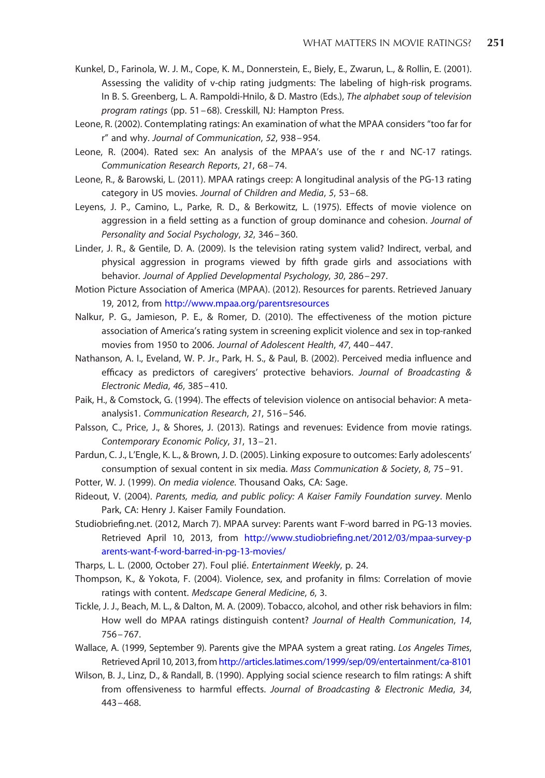- <span id="page-12-2"></span>Kunkel, D., Farinola, W. J. M., Cope, K. M., Donnerstein, E., Biely, E., Zwarun, L., & Rollin, E. (2001). Assessing the validity of v-chip rating judgments: The labeling of high-risk programs. In B. S. Greenberg, L. A. Rampoldi-Hnilo, & D. Mastro (Eds.), The alphabet soup of television program ratings (pp. 51–68). Cresskill, NJ: Hampton Press.
- <span id="page-12-8"></span>Leone, R. (2002). Contemplating ratings: An examination of what the MPAA considers "too far for r" and why. Journal of Communication, 52, 938 –954.
- <span id="page-12-9"></span>Leone, R. (2004). Rated sex: An analysis of the MPAA's use of the r and NC-17 ratings. Communication Research Reports, 21, 68–74.
- <span id="page-12-12"></span>Leone, R., & Barowski, L. (2011). MPAA ratings creep: A longitudinal analysis of the PG-13 rating category in US movies. Journal of Children and Media, 5, 53–68.
- <span id="page-12-6"></span>Leyens, J. P., Camino, L., Parke, R. D., & Berkowitz, L. (1975). Effects of movie violence on aggression in a field setting as a function of group dominance and cohesion. Journal of Personality and Social Psychology, 32, 346-360.
- <span id="page-12-7"></span>Linder, J. R., & Gentile, D. A. (2009). Is the television rating system valid? Indirect, verbal, and physical aggression in programs viewed by fifth grade girls and associations with behavior. Journal of Applied Developmental Psychology, 30, 286 –297.
- <span id="page-12-3"></span>Motion Picture Association of America (MPAA). (2012). Resources for parents. Retrieved January 19, 2012, from <http://www.mpaa.org/parentsresources>
- <span id="page-12-15"></span>Nalkur, P. G., Jamieson, P. E., & Romer, D. (2010). The effectiveness of the motion picture association of America's rating system in screening explicit violence and sex in top-ranked movies from 1950 to 2006. Journal of Adolescent Health, 47, 440 –447.
- <span id="page-12-1"></span>Nathanson, A. I., Eveland, W. P. Jr., Park, H. S., & Paul, B. (2002). Perceived media influence and efficacy as predictors of caregivers' protective behaviors. Journal of Broadcasting & Electronic Media, 46, 385 –410.
- <span id="page-12-5"></span>Paik, H., & Comstock, G. (1994). The effects of television violence on antisocial behavior: A metaanalysis1. Communication Research, 21, 516 –546.
- <span id="page-12-18"></span>Palsson, C., Price, J., & Shores, J. (2013). Ratings and revenues: Evidence from movie ratings. Contemporary Economic Policy, 31, 13–21.
- <span id="page-12-17"></span>Pardun, C. J., L'Engle, K. L., & Brown, J. D. (2005). Linking exposure to outcomes: Early adolescents' consumption of sexual content in six media. Mass Communication & Society, 8, 75 –91.
- <span id="page-12-4"></span>Potter, W. J. (1999). On media violence. Thousand Oaks, CA: Sage.
- <span id="page-12-0"></span>Rideout, V. (2004). Parents, media, and public policy: A Kaiser Family Foundation survey. Menlo Park, CA: Henry J. Kaiser Family Foundation.
- <span id="page-12-19"></span>Studiobriefing.net. (2012, March 7). MPAA survey: Parents want F-word barred in PG-13 movies. Retrieved April 10, 2013, from [http://www.studiobriefing.net/2012/03/mpaa-survey-p](http://www.studiobriefing.net/2012/03/mpaa-survey-parents-want-f-word-barred-in-pg-13-movies/) [arents-want-f-word-barred-in-pg-13-movies/](http://www.studiobriefing.net/2012/03/mpaa-survey-parents-want-f-word-barred-in-pg-13-movies/)
- <span id="page-12-10"></span>Tharps, L. L. (2000, October 27). Foul plié. Entertainment Weekly, p. 24.
- <span id="page-12-13"></span>Thompson, K., & Yokota, F. (2004). Violence, sex, and profanity in films: Correlation of movie ratings with content. Medscape General Medicine, 6, 3.
- <span id="page-12-16"></span>Tickle, J. J., Beach, M. L., & Dalton, M. A. (2009). Tobacco, alcohol, and other risk behaviors in film: How well do MPAA ratings distinguish content? Journal of Health Communication, 14, 756 –767.
- <span id="page-12-14"></span>Wallace, A. (1999, September 9). Parents give the MPAA system a great rating. Los Angeles Times, Retrieved April 10, 2013,from <http://articles.latimes.com/1999/sep/09/entertainment/ca-8101>
- <span id="page-12-11"></span>Wilson, B. J., Linz, D., & Randall, B. (1990). Applying social science research to film ratings: A shift from offensiveness to harmful effects. Journal of Broadcasting & Electronic Media, 34, 443 –468.